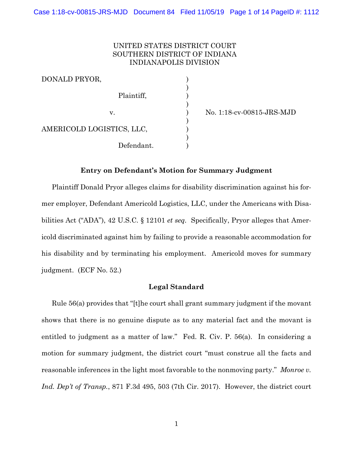## UNITED STATES DISTRICT COURT SOUTHERN DISTRICT OF INDIANA INDIANAPOLIS DIVISION

)<br>)

)

)<br>)

)

| DONALD PRYOR,             |  |
|---------------------------|--|
| Plaintiff,                |  |
| v.                        |  |
| AMERICOLD LOGISTICS, LLC, |  |
| Defendant.                |  |

v. ) No. 1:18-cv-00815-JRS-MJD

### **Entry on Defendant's Motion for Summary Judgment**

Plaintiff Donald Pryor alleges claims for disability discrimination against his former employer, Defendant Americold Logistics, LLC, under the Americans with Disabilities Act ("ADA"), 42 U.S.C. § 12101 *et seq.* Specifically, Pryor alleges that Americold discriminated against him by failing to provide a reasonable accommodation for his disability and by terminating his employment. Americold moves for summary judgment. (ECF No. 52.)

#### **Legal Standard**

Rule 56(a) provides that "[t]he court shall grant summary judgment if the movant shows that there is no genuine dispute as to any material fact and the movant is entitled to judgment as a matter of law." [Fed. R. Civ. P. 56\(a\).](https://www.westlaw.com/Document/N1B4C0B30B96A11D8983DF34406B5929B/View/FullText.html?transitionType=Default&contextData=(sc.Default)&VR=3.0&RS=da3.0) In considering a motion for summary judgment, the district court "must construe all the facts and reasonable inferences in the light most favorable to the nonmoving party." *[Monroe v.](https://www.westlaw.com/Document/Ib75245709c9211e7a9cdf8f74902bf96/View/FullText.html?transitionType=Default&contextData=(sc.Default)&VR=3.0&RS=da3.0&fragmentIdentifier=co_pp_sp_506_503)  Ind. Dep't of Transp.*[, 871 F.3d 495, 503 \(7th Cir. 2017\).](https://www.westlaw.com/Document/Ib75245709c9211e7a9cdf8f74902bf96/View/FullText.html?transitionType=Default&contextData=(sc.Default)&VR=3.0&RS=da3.0&fragmentIdentifier=co_pp_sp_506_503) However, the district court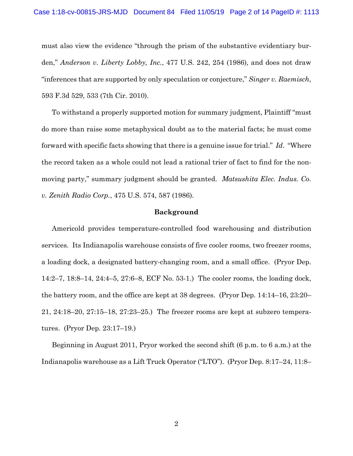must also view the evidence "through the prism of the substantive evidentiary burden," *[Anderson v. Liberty Lobby, Inc.](https://www.westlaw.com/Document/I3a8518e29c9d11d991d0cc6b54f12d4d/View/FullText.html?transitionType=Default&contextData=(sc.Default)&VR=3.0&RS=da3.0&fragmentIdentifier=co_pp_sp_780_254)*, 477 U.S. 242, 254 (1986), and does not draw "inferences that are supported by only speculation or conjecture," *Singer v. Raemisch*, 593 F.3d 529, 533 (7th Cir. 2010).

To withstand a properly supported motion for summary judgment, Plaintiff "must do more than raise some metaphysical doubt as to the material facts; he must come forward with specific facts showing that there is a genuine issue for trial." *Id*. "Where the record taken as a whole could not lead a rational trier of fact to find for the nonmoving party," summary judgment should be granted. *[Matsushita Elec. Indus. Co.](https://www.westlaw.com/Document/I1d196aaa9c9711d993e6d35cc61aab4a/View/FullText.html?transitionType=Default&contextData=(sc.Default)&VR=3.0&RS=da3.0&fragmentIdentifier=co_pp_sp_780_587)  v. Zenith Radio Corp.*[, 475 U.S. 574, 587 \(1986\)](https://www.westlaw.com/Document/I1d196aaa9c9711d993e6d35cc61aab4a/View/FullText.html?transitionType=Default&contextData=(sc.Default)&VR=3.0&RS=da3.0&fragmentIdentifier=co_pp_sp_780_587)*.*

#### **Background**

Americold provides temperature-controlled food warehousing and distribution services. Its Indianapolis warehouse consists of five cooler rooms, two freezer rooms, a loading dock, a designated battery-changing room, and a small office. (Pryor Dep. 14:2–7, 18:8–14, 24:4–5, 27:6–8, ECF No. 53-1.) The cooler rooms, the loading dock, the battery room, and the office are kept at 38 degrees. (Pryor Dep. 14:14–16, 23:20– 21, 24:18–20, 27:15–18, 27:23–25.) The freezer rooms are kept at subzero temperatures. (Pryor Dep. 23:17–19.)

Beginning in August 2011, Pryor worked the second shift (6 p.m. to 6 a.m.) at the Indianapolis warehouse as a Lift Truck Operator ("LTO"). (Pryor Dep. 8:17–24, 11:8–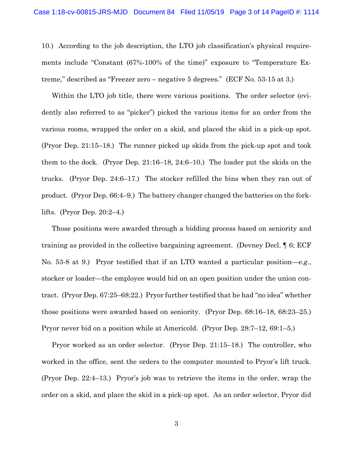10.) According to the job description, the LTO job classification's physical requirements include "Constant (67%-100% of the time)" exposure to "Temperature Extreme," described as "Freezer zero – negative 5 degrees." (ECF No. 53-15 at 3.)

Within the LTO job title, there were various positions. The order selector (evidently also referred to as "picker") picked the various items for an order from the various rooms, wrapped the order on a skid, and placed the skid in a pick-up spot. (Pryor Dep. 21:15–18.) The runner picked up skids from the pick-up spot and took them to the dock. (Pryor Dep. 21:16–18, 24:6–10.) The loader put the skids on the trucks. (Pryor Dep. 24:6–17.) The stocker refilled the bins when they ran out of product. (Pryor Dep. 66:4–9.) The battery changer changed the batteries on the forklifts. (Pryor Dep. 20:2–4.)

Those positions were awarded through a bidding process based on seniority and training as provided in the collective bargaining agreement. (Devney Decl. ¶ 6; ECF No. 53-8 at 9.) Pryor testified that if an LTO wanted a particular position—*e.g.*, stocker or loader—the employee would bid on an open position under the union contract. (Pryor Dep. 67:25–68:22.) Pryor further testified that he had "no idea" whether those positions were awarded based on seniority. (Pryor Dep. 68:16–18, 68:23–25.) Pryor never bid on a position while at Americold. (Pryor Dep. 28:7–12, 69:1–5.)

Pryor worked as an order selector. (Pryor Dep. 21:15–18.) The controller, who worked in the office, sent the orders to the computer mounted to Pryor's lift truck. (Pryor Dep. 22:4–13.) Pryor's job was to retrieve the items in the order, wrap the order on a skid, and place the skid in a pick-up spot. As an order selector, Pryor did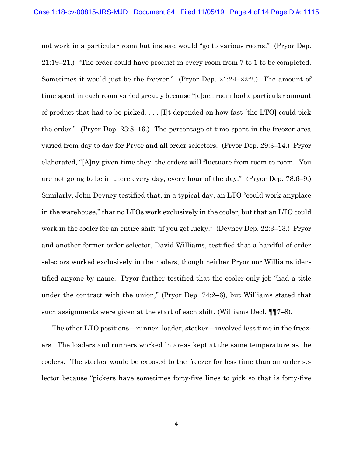not work in a particular room but instead would "go to various rooms." (Pryor Dep. 21:19–21.) "The order could have product in every room from 7 to 1 to be completed. Sometimes it would just be the freezer." (Pryor Dep. 21:24–22:2.) The amount of time spent in each room varied greatly because "[e]ach room had a particular amount of product that had to be picked. . . . [I]t depended on how fast [the LTO] could pick the order." (Pryor Dep. 23:8–16.) The percentage of time spent in the freezer area varied from day to day for Pryor and all order selectors. (Pryor Dep. 29:3–14.) Pryor elaborated, "[A]ny given time they, the orders will fluctuate from room to room. You are not going to be in there every day, every hour of the day." (Pryor Dep. 78:6–9.) Similarly, John Devney testified that, in a typical day, an LTO "could work anyplace in the warehouse," that no LTOs work exclusively in the cooler, but that an LTO could work in the cooler for an entire shift "if you get lucky." (Devney Dep. 22:3–13.) Pryor and another former order selector, David Williams, testified that a handful of order selectors worked exclusively in the coolers, though neither Pryor nor Williams identified anyone by name. Pryor further testified that the cooler-only job "had a title under the contract with the union," (Pryor Dep. 74:2–6), but Williams stated that such assignments were given at the start of each shift, (Williams Decl. ¶¶7–8).

The other LTO positions—runner, loader, stocker—involved less time in the freezers. The loaders and runners worked in areas kept at the same temperature as the coolers. The stocker would be exposed to the freezer for less time than an order selector because "pickers have sometimes forty-five lines to pick so that is forty-five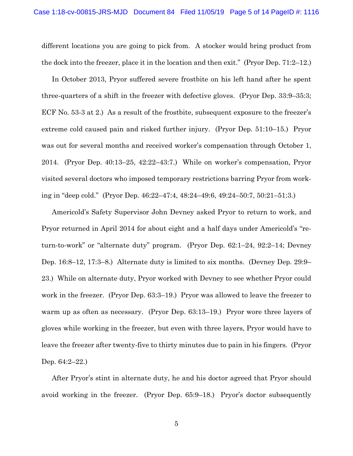different locations you are going to pick from. A stocker would bring product from the dock into the freezer, place it in the location and then exit." (Pryor Dep. 71:2–12.)

In October 2013, Pryor suffered severe frostbite on his left hand after he spent three-quarters of a shift in the freezer with defective gloves. (Pryor Dep. 33:9–35:3; ECF No. 53-3 at 2.) As a result of the frostbite, subsequent exposure to the freezer's extreme cold caused pain and risked further injury. (Pryor Dep. 51:10–15.) Pryor was out for several months and received worker's compensation through October 1, 2014. (Pryor Dep. 40:13–25, 42:22–43:7.) While on worker's compensation, Pryor visited several doctors who imposed temporary restrictions barring Pryor from working in "deep cold." (Pryor Dep. 46:22–47:4, 48:24–49:6, 49:24–50:7, 50:21–51:3.)

Americold's Safety Supervisor John Devney asked Pryor to return to work, and Pryor returned in April 2014 for about eight and a half days under Americold's "return-to-work" or "alternate duty" program. (Pryor Dep. 62:1–24, 92:2–14; Devney Dep. 16:8–12, 17:3–8.) Alternate duty is limited to six months. (Devney Dep. 29:9– 23.) While on alternate duty, Pryor worked with Devney to see whether Pryor could work in the freezer. (Pryor Dep. 63:3–19.) Pryor was allowed to leave the freezer to warm up as often as necessary. (Pryor Dep. 63:13–19.) Pryor wore three layers of gloves while working in the freezer, but even with three layers, Pryor would have to leave the freezer after twenty-five to thirty minutes due to pain in his fingers. (Pryor Dep. 64:2–22.)

After Pryor's stint in alternate duty, he and his doctor agreed that Pryor should avoid working in the freezer. (Pryor Dep. 65:9–18.) Pryor's doctor subsequently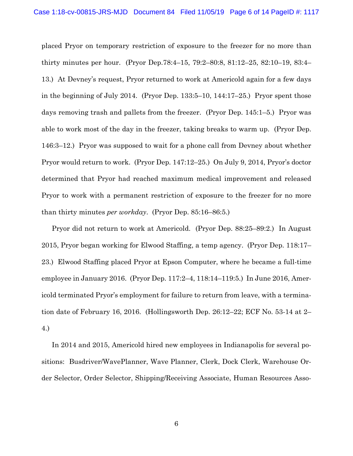placed Pryor on temporary restriction of exposure to the freezer for no more than thirty minutes per hour. (Pryor Dep.78:4–15, 79:2–80:8, 81:12–25, 82:10–19, 83:4– 13.) At Devney's request, Pryor returned to work at Americold again for a few days in the beginning of July 2014. (Pryor Dep. 133:5–10, 144:17–25.) Pryor spent those days removing trash and pallets from the freezer. (Pryor Dep. 145:1–5.) Pryor was able to work most of the day in the freezer, taking breaks to warm up. (Pryor Dep. 146:3–12.) Pryor was supposed to wait for a phone call from Devney about whether Pryor would return to work. (Pryor Dep. 147:12–25.) On July 9, 2014, Pryor's doctor determined that Pryor had reached maximum medical improvement and released Pryor to work with a permanent restriction of exposure to the freezer for no more than thirty minutes *per workday*. (Pryor Dep. 85:16–86:5.)

Pryor did not return to work at Americold. (Pryor Dep. 88:25–89:2.) In August 2015, Pryor began working for Elwood Staffing, a temp agency. (Pryor Dep. 118:17– 23.) Elwood Staffing placed Pryor at Epson Computer, where he became a full-time employee in January 2016. (Pryor Dep. 117:2–4, 118:14–119:5.) In June 2016, Americold terminated Pryor's employment for failure to return from leave, with a termination date of February 16, 2016. (Hollingsworth Dep. 26:12–22; ECF No. 53-14 at 2– 4.)

In 2014 and 2015, Americold hired new employees in Indianapolis for several positions: Busdriver/WavePlanner, Wave Planner, Clerk, Dock Clerk, Warehouse Order Selector, Order Selector, Shipping/Receiving Associate, Human Resources Asso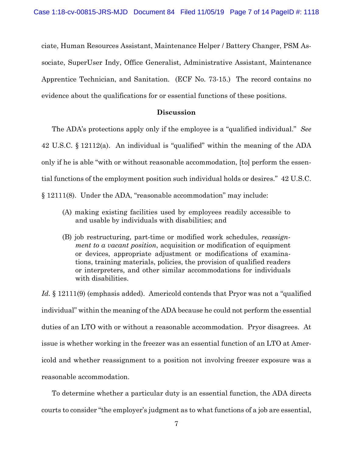ciate, Human Resources Assistant, Maintenance Helper / Battery Changer, PSM Associate, SuperUser Indy, Office Generalist, Administrative Assistant, Maintenance Apprentice Technician, and Sanitation. (ECF No. 73-15.) The record contains no evidence about the qualifications for or essential functions of these positions.

#### **Discussion**

The ADA's protections apply only if the employee is a "qualified individual." *See*  42 U.S.C. § 12112(a). An individual is "qualified" within the meaning of the ADA only if he is able "with or without reasonable accommodation, [to] perform the essential functions of the employment position such individual holds or desires." 42 U.S.C. § 12111(8). Under the ADA, "reasonable accommodation" may include:

- (A) making existing facilities used by employees readily accessible to and usable by individuals with disabilities; and
- (B) job restructuring, part-time or modified work schedules, *reassignment to a vacant position*, acquisition or modification of equipment or devices, appropriate adjustment or modifications of examinations, training materials, policies, the provision of qualified readers or interpreters, and other similar accommodations for individuals with disabilities.

Id. § 12111(9) (emphasis added). Americold contends that Pryor was not a "qualified" individual" within the meaning of the ADA because he could not perform the essential duties of an LTO with or without a reasonable accommodation. Pryor disagrees. At issue is whether working in the freezer was an essential function of an LTO at Americold and whether reassignment to a position not involving freezer exposure was a reasonable accommodation.

To determine whether a particular duty is an essential function, the ADA directs courts to consider "the employer's judgment as to what functions of a job are essential,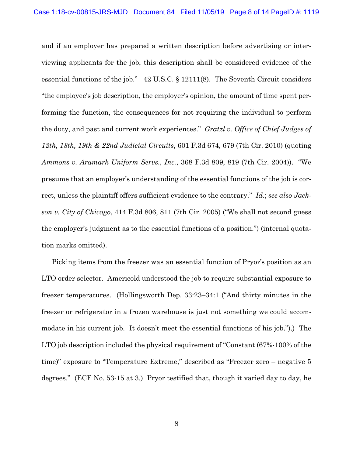and if an employer has prepared a written description before advertising or interviewing applicants for the job, this description shall be considered evidence of the essential functions of the job." 42 U.S.C. § 12111(8). The Seventh Circuit considers "the employee's job description, the employer's opinion, the amount of time spent performing the function, the consequences for not requiring the individual to perform the duty, and past and current work experiences." *Gratzl v. Office of Chief Judges of 12th, 18th, 19th & 22nd Judicial Circuits*, 601 F.3d 674, 679 (7th Cir. 2010) (quoting *Ammons v. Aramark Uniform Servs., Inc.*, 368 F.3d 809, 819 (7th Cir. 2004)). "We presume that an employer's understanding of the essential functions of the job is correct, unless the plaintiff offers sufficient evidence to the contrary." *Id.*; *see also Jackson v. City of Chicago*, 414 F.3d 806, 811 (7th Cir. 2005) ("We shall not second guess the employer's judgment as to the essential functions of a position.") (internal quotation marks omitted).

Picking items from the freezer was an essential function of Pryor's position as an LTO order selector. Americold understood the job to require substantial exposure to freezer temperatures. (Hollingsworth Dep. 33:23–34:1 ("And thirty minutes in the freezer or refrigerator in a frozen warehouse is just not something we could accommodate in his current job. It doesn't meet the essential functions of his job.").) The LTO job description included the physical requirement of "Constant (67%-100% of the time)" exposure to "Temperature Extreme," described as "Freezer zero – negative 5 degrees." (ECF No. 53-15 at 3.) Pryor testified that, though it varied day to day, he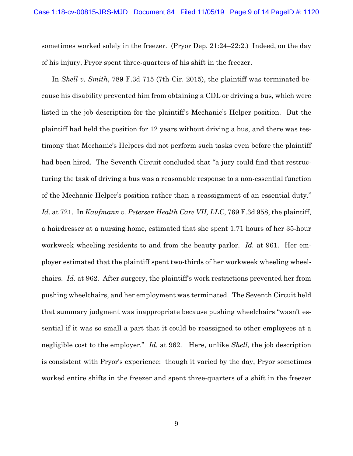sometimes worked solely in the freezer. (Pryor Dep. 21:24–22:2.) Indeed, on the day of his injury, Pryor spent three-quarters of his shift in the freezer.

In *Shell v. Smith*, 789 F.3d 715 (7th Cir. 2015), the plaintiff was terminated because his disability prevented him from obtaining a CDL or driving a bus, which were listed in the job description for the plaintiff's Mechanic's Helper position. But the plaintiff had held the position for 12 years without driving a bus, and there was testimony that Mechanic's Helpers did not perform such tasks even before the plaintiff had been hired. The Seventh Circuit concluded that "a jury could find that restructuring the task of driving a bus was a reasonable response to a non-essential function of the Mechanic Helper's position rather than a reassignment of an essential duty." *Id.* at 721. In *Kaufmann v. Petersen Health Care VII, LLC*, 769 F.3d 958, the plaintiff, a hairdresser at a nursing home, estimated that she spent 1.71 hours of her 35-hour workweek wheeling residents to and from the beauty parlor. *Id.* at 961. Her employer estimated that the plaintiff spent two-thirds of her workweek wheeling wheelchairs. *Id.* at 962. After surgery, the plaintiff's work restrictions prevented her from pushing wheelchairs, and her employment was terminated. The Seventh Circuit held that summary judgment was inappropriate because pushing wheelchairs "wasn't essential if it was so small a part that it could be reassigned to other employees at a negligible cost to the employer." *Id.* at 962. Here, unlike *Shell*, the job description is consistent with Pryor's experience: though it varied by the day, Pryor sometimes worked entire shifts in the freezer and spent three-quarters of a shift in the freezer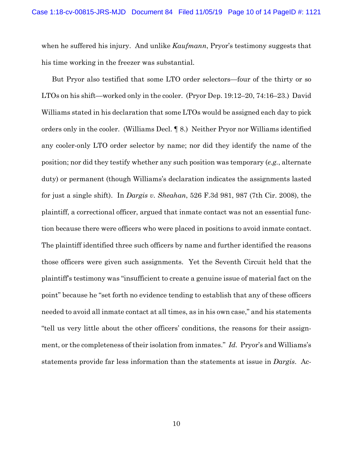when he suffered his injury. And unlike *Kaufmann*, Pryor's testimony suggests that his time working in the freezer was substantial.

But Pryor also testified that some LTO order selectors—four of the thirty or so LTOs on his shift—worked only in the cooler. (Pryor Dep. 19:12–20, 74:16–23.) David Williams stated in his declaration that some LTOs would be assigned each day to pick orders only in the cooler. (Williams Decl. ¶ 8.) Neither Pryor nor Williams identified any cooler-only LTO order selector by name; nor did they identify the name of the position; nor did they testify whether any such position was temporary (*e.g.*, alternate duty) or permanent (though Williams's declaration indicates the assignments lasted for just a single shift). In *Dargis v. Sheahan*, 526 F.3d 981, 987 (7th Cir. 2008), the plaintiff, a correctional officer, argued that inmate contact was not an essential function because there were officers who were placed in positions to avoid inmate contact. The plaintiff identified three such officers by name and further identified the reasons those officers were given such assignments. Yet the Seventh Circuit held that the plaintiff's testimony was "insufficient to create a genuine issue of material fact on the point" because he "set forth no evidence tending to establish that any of these officers needed to avoid all inmate contact at all times, as in his own case," and his statements "tell us very little about the other officers' conditions, the reasons for their assignment, or the completeness of their isolation from inmates." *Id.* Pryor's and Williams's statements provide far less information than the statements at issue in *Dargis*. Ac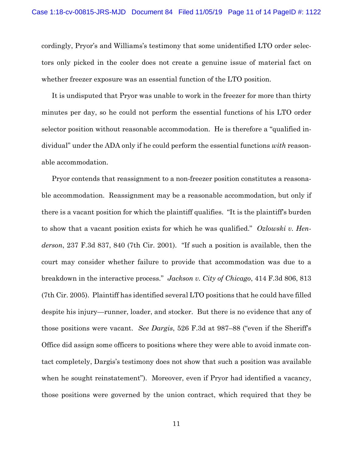cordingly, Pryor's and Williams's testimony that some unidentified LTO order selectors only picked in the cooler does not create a genuine issue of material fact on whether freezer exposure was an essential function of the LTO position.

It is undisputed that Pryor was unable to work in the freezer for more than thirty minutes per day, so he could not perform the essential functions of his LTO order selector position without reasonable accommodation. He is therefore a "qualified individual" under the ADA only if he could perform the essential functions *with* reasonable accommodation.

Pryor contends that reassignment to a non-freezer position constitutes a reasonable accommodation. Reassignment may be a reasonable accommodation, but only if there is a vacant position for which the plaintiff qualifies. "It is the plaintiff's burden to show that a vacant position exists for which he was qualified." *Ozlowski v. Henderson*, 237 F.3d 837, 840 (7th Cir. 2001). "If such a position is available, then the court may consider whether failure to provide that accommodation was due to a breakdown in the interactive process." *Jackson v. City of Chicago*, 414 F.3d 806, 813 (7th Cir. 2005). Plaintiff has identified several LTO positions that he could have filled despite his injury—runner, loader, and stocker. But there is no evidence that any of those positions were vacant. *See Dargis*, 526 F.3d at 987–88 ("even if the Sheriff's Office did assign some officers to positions where they were able to avoid inmate contact completely, Dargis's testimony does not show that such a position was available when he sought reinstatement"). Moreover, even if Pryor had identified a vacancy, those positions were governed by the union contract, which required that they be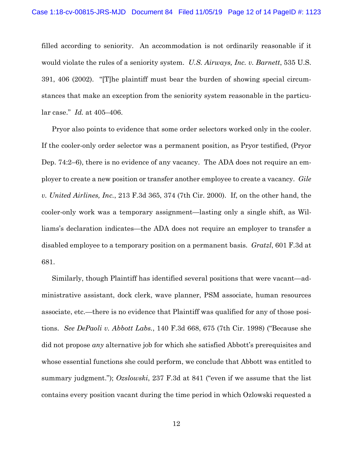filled according to seniority. An accommodation is not ordinarily reasonable if it would violate the rules of a seniority system. *U.S. Airways, Inc. v. Barnett*, 535 U.S. 391, 406 (2002). "[T]he plaintiff must bear the burden of showing special circumstances that make an exception from the seniority system reasonable in the particular case." *Id.* at 405–406.

Pryor also points to evidence that some order selectors worked only in the cooler. If the cooler-only order selector was a permanent position, as Pryor testified, (Pryor Dep. 74:2–6), there is no evidence of any vacancy. The ADA does not require an employer to create a new position or transfer another employee to create a vacancy. *Gile v. United Airlines, Inc.*, 213 F.3d 365, 374 (7th Cir. 2000). If, on the other hand, the cooler-only work was a temporary assignment—lasting only a single shift, as Williams's declaration indicates—the ADA does not require an employer to transfer a disabled employee to a temporary position on a permanent basis. *Gratzl*, 601 F.3d at 681.

Similarly, though Plaintiff has identified several positions that were vacant—administrative assistant, dock clerk, wave planner, PSM associate, human resources associate, etc.—there is no evidence that Plaintiff was qualified for any of those positions. *See DePaoli v. Abbott Labs.*, 140 F.3d 668, 675 (7th Cir. 1998) ("Because she did not propose *any* alternative job for which she satisfied Abbott's prerequisites and whose essential functions she could perform, we conclude that Abbott was entitled to summary judgment."); *Ozslowski*, 237 F.3d at 841 ("even if we assume that the list contains every position vacant during the time period in which Ozlowski requested a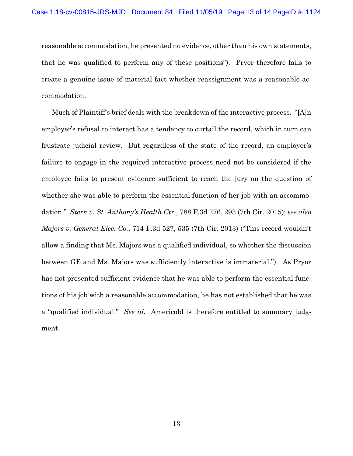reasonable accommodation, he presented no evidence, other than his own statements, that he was qualified to perform any of these positions"). Pryor therefore fails to create a genuine issue of material fact whether reassignment was a reasonable accommodation.

Much of Plaintiff's brief deals with the breakdown of the interactive process. "[A]n employer's refusal to interact has a tendency to curtail the record, which in turn can frustrate judicial review. But regardless of the state of the record, an employer's failure to engage in the required interactive process need not be considered if the employee fails to present evidence sufficient to reach the jury on the question of whether she was able to perform the essential function of her job with an accommodation." *Stern v. St. Anthony's Health Ctr.*, 788 F.3d 276, 293 (7th Cir. 2015); *see also Majors v. General Elec. Co.*, 714 F.3d 527, 535 (7th Cir. 2013) ("This record wouldn't allow a finding that Ms. Majors was a qualified individual, so whether the discussion between GE and Ms. Majors was sufficiently interactive is immaterial."). As Pryor has not presented sufficient evidence that he was able to perform the essential functions of his job with a reasonable accommodation, he has not established that he was a "qualified individual." *See id.* Americold is therefore entitled to summary judgment.